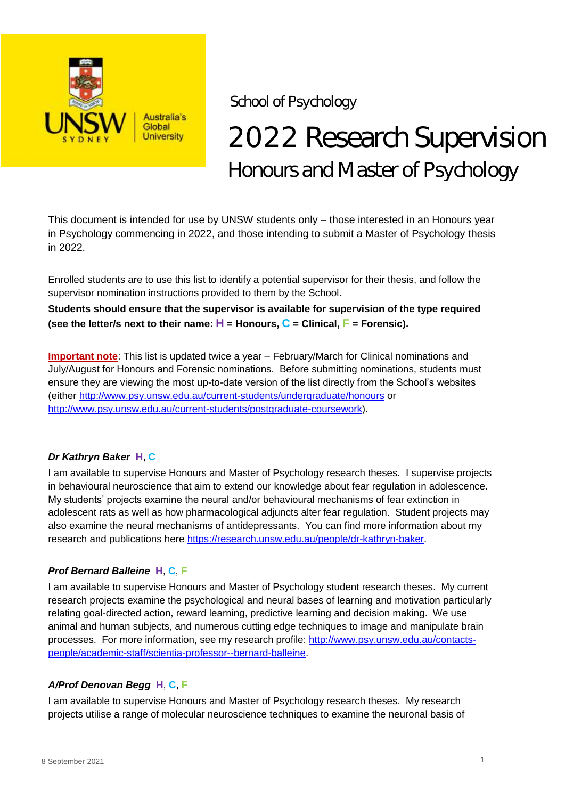

School of Psychology

# 2022 Research Supervision Honours and Master of Psychology

This document is intended for use by UNSW students only – those interested in an Honours year in Psychology commencing in 2022, and those intending to submit a Master of Psychology thesis in 2022.

Enrolled students are to use this list to identify a potential supervisor for their thesis, and follow the supervisor nomination instructions provided to them by the School.

**Students should ensure that the supervisor is available for supervision of the type required (see the letter/s next to their name:**  $H =$  **Honours,**  $C =$  **Clinical,**  $F =$  **Forensic).** 

**Important note**: This list is updated twice a year – February/March for Clinical nominations and July/August for Honours and Forensic nominations. Before submitting nominations, students must ensure they are viewing the most up-to-date version of the list directly from the School's websites (either<http://www.psy.unsw.edu.au/current-students/undergraduate/honours> or [http://www.psy.unsw.edu.au/current-students/postgraduate-coursework\)](http://www.psy.unsw.edu.au/current-students/postgraduate-coursework).

# *Dr Kathryn Baker* **H**, **C**

I am available to supervise Honours and Master of Psychology research theses. I supervise projects in behavioural neuroscience that aim to extend our knowledge about fear regulation in adolescence. My students' projects examine the neural and/or behavioural mechanisms of fear extinction in adolescent rats as well as how pharmacological adjuncts alter fear regulation. Student projects may also examine the neural mechanisms of antidepressants. You can find more information about my research and publications here [https://research.unsw.edu.au/people/dr-kathryn-baker.](https://research.unsw.edu.au/people/dr-kathryn-baker)

# *Prof Bernard Balleine* **H**, **C**, **F**

I am available to supervise Honours and Master of Psychology student research theses. My current research projects examine the psychological and neural bases of learning and motivation particularly relating goal-directed action, reward learning, predictive learning and decision making. We use animal and human subjects, and numerous cutting edge techniques to image and manipulate brain processes. For more information, see my research profile: [http://www.psy.unsw.edu.au/contacts](http://www.psy.unsw.edu.au/contacts-people/academic-staff/scientia-professor--bernard-balleine)[people/academic-staff/scientia-professor--bernard-balleine.](http://www.psy.unsw.edu.au/contacts-people/academic-staff/scientia-professor--bernard-balleine)

# *A/Prof Denovan Begg* **H**, **C**, **F**

I am available to supervise Honours and Master of Psychology research theses. My research projects utilise a range of molecular neuroscience techniques to examine the neuronal basis of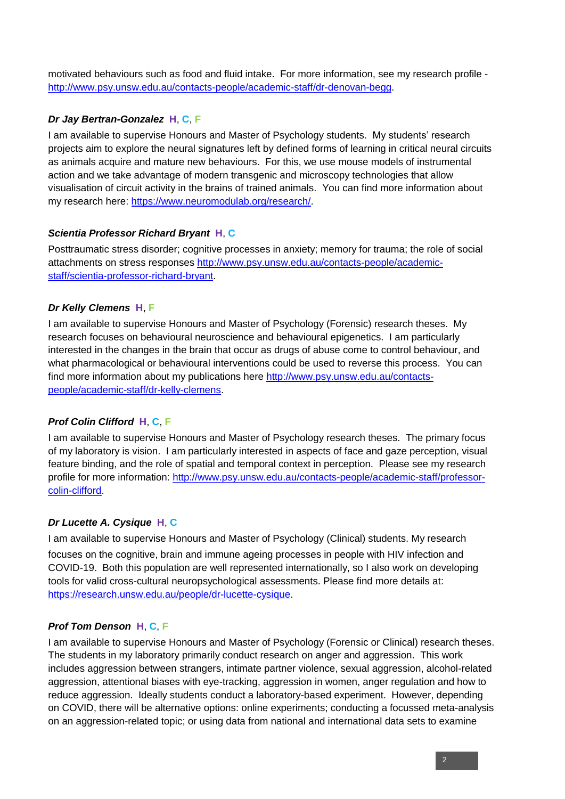motivated behaviours such as food and fluid intake. For more information, see my research profile [http://www.psy.unsw.edu.au/contacts-people/academic-staff/dr-denovan-begg.](http://www.psy.unsw.edu.au/contacts-people/academic-staff/dr-denovan-begg)

# *Dr Jay Bertran-Gonzalez* **H**, **C**, **F**

I am available to supervise Honours and Master of Psychology students. My students' research projects aim to explore the neural signatures left by defined forms of learning in critical neural circuits as animals acquire and mature new behaviours. For this, we use mouse models of instrumental action and we take advantage of modern transgenic and microscopy technologies that allow visualisation of circuit activity in the brains of trained animals. You can find more information about my research here: [https://www.neuromodulab.org/research/.](https://www.neuromodulab.org/research/)

# *Scientia Professor Richard Bryant* **H**, **C**

Posttraumatic stress disorder; cognitive processes in anxiety; memory for trauma; the role of social attachments on stress responses [http://www.psy.unsw.edu.au/contacts-people/academic](http://www.psy.unsw.edu.au/contacts-people/academic-staff/scientia-professor-richard-bryant)[staff/scientia-professor-richard-bryant.](http://www.psy.unsw.edu.au/contacts-people/academic-staff/scientia-professor-richard-bryant)

# *Dr Kelly Clemens* **H**, **F**

I am available to supervise Honours and Master of Psychology (Forensic) research theses. My research focuses on behavioural neuroscience and behavioural epigenetics. I am particularly interested in the changes in the brain that occur as drugs of abuse come to control behaviour, and what pharmacological or behavioural interventions could be used to reverse this process. You can find more information about my publications here [http://www.psy.unsw.edu.au/contacts](http://www.psy.unsw.edu.au/contacts-people/academic-staff/dr-kelly-clemens)[people/academic-staff/dr-kelly-clemens.](http://www.psy.unsw.edu.au/contacts-people/academic-staff/dr-kelly-clemens)

# *Prof Colin Clifford* **H**, **C**, **F**

I am available to supervise Honours and Master of Psychology research theses. The primary focus of my laboratory is vision. I am particularly interested in aspects of face and gaze perception, visual feature binding, and the role of spatial and temporal context in perception. Please see my research profile for more information: [http://www.psy.unsw.edu.au/contacts-people/academic-staff/professor](http://www.psy.unsw.edu.au/contacts-people/academic-staff/professor-colin-clifford)[colin-clifford.](http://www.psy.unsw.edu.au/contacts-people/academic-staff/professor-colin-clifford)

# *Dr Lucette A. Cysique* **H**, **C**

I am available to supervise Honours and Master of Psychology (Clinical) students. My research focuses on the cognitive, brain and immune ageing processes in people with HIV infection and COVID-19. Both this population are well represented internationally, so I also work on developing tools for valid cross-cultural neuropsychological assessments. Please find more details at: [https://research.unsw.edu.au/people/dr-lucette-cysique.](https://research.unsw.edu.au/people/dr-lucette-cysique)

# *Prof Tom Denson* **H**, **C**, **F**

I am available to supervise Honours and Master of Psychology (Forensic or Clinical) research theses. The students in my laboratory primarily conduct research on anger and aggression. This work includes aggression between strangers, intimate partner violence, sexual aggression, alcohol-related aggression, attentional biases with eye-tracking, aggression in women, anger regulation and how to reduce aggression. Ideally students conduct a laboratory-based experiment. However, depending on COVID, there will be alternative options: online experiments; conducting a focussed meta-analysis on an aggression-related topic; or using data from national and international data sets to examine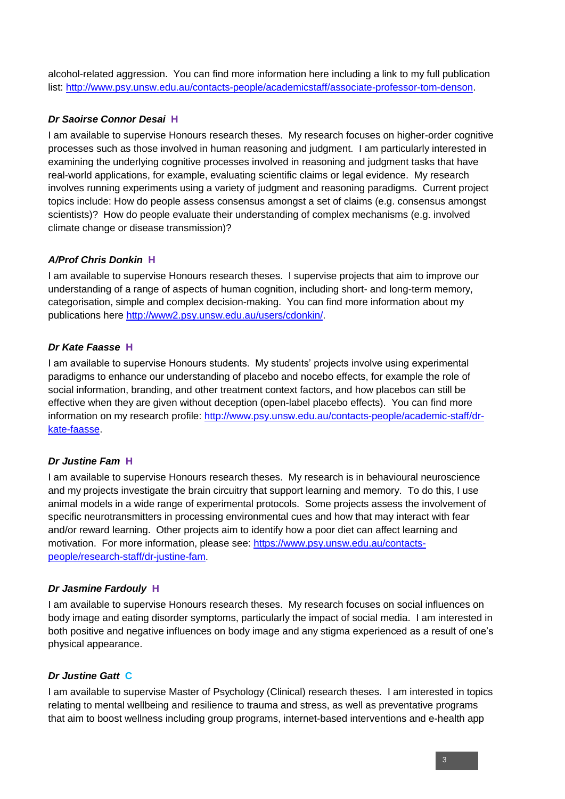alcohol-related aggression. You can find more information here including a link to my full publication list: [http://www.psy.unsw.edu.au/contacts-people/academicstaff/associate-professor-tom-denson.](http://www.psy.unsw.edu.au/contacts-people/academicstaff/associate-professor-tom-denson)

# *Dr Saoirse Connor Desai* **H**

I am available to supervise Honours research theses. My research focuses on higher-order cognitive processes such as those involved in human reasoning and judgment. I am particularly interested in examining the underlying cognitive processes involved in reasoning and judgment tasks that have real-world applications, for example, evaluating scientific claims or legal evidence. My research involves running experiments using a variety of judgment and reasoning paradigms. Current project topics include: How do people assess consensus amongst a set of claims (e.g. consensus amongst scientists)? How do people evaluate their understanding of complex mechanisms (e.g. involved climate change or disease transmission)?

# *A/Prof Chris Donkin* **H**

I am available to supervise Honours research theses. I supervise projects that aim to improve our understanding of a range of aspects of human cognition, including short- and long-term memory, categorisation, simple and complex decision-making. You can find more information about my publications here [http://www2.psy.unsw.edu.au/users/cdonkin/.](http://www2.psy.unsw.edu.au/users/cdonkin/)

# *Dr Kate Faasse* **H**

I am available to supervise Honours students. My students' projects involve using experimental paradigms to enhance our understanding of placebo and nocebo effects, for example the role of social information, branding, and other treatment context factors, and how placebos can still be effective when they are given without deception (open-label placebo effects). You can find more information on my research profile: [http://www.psy.unsw.edu.au/contacts-people/academic-staff/dr](http://www.psy.unsw.edu.au/contacts-people/academic-staff/dr-kate-faasse)[kate-faasse.](http://www.psy.unsw.edu.au/contacts-people/academic-staff/dr-kate-faasse)

# *Dr Justine Fam* **H**

I am available to supervise Honours research theses. My research is in behavioural neuroscience and my projects investigate the brain circuitry that support learning and memory. To do this, I use animal models in a wide range of experimental protocols. Some projects assess the involvement of specific neurotransmitters in processing environmental cues and how that may interact with fear and/or reward learning. Other projects aim to identify how a poor diet can affect learning and motivation. For more information, please see: [https://www.psy.unsw.edu.au/contacts](https://www.psy.unsw.edu.au/contacts-people/research-staff/dr-justine-fam)[people/research-staff/dr-justine-fam.](https://www.psy.unsw.edu.au/contacts-people/research-staff/dr-justine-fam)

# *Dr Jasmine Fardouly* **H**

I am available to supervise Honours research theses. My research focuses on social influences on body image and eating disorder symptoms, particularly the impact of social media. I am interested in both positive and negative influences on body image and any stigma experienced as a result of one's physical appearance.

# *Dr Justine Gatt* **C**

I am available to supervise Master of Psychology (Clinical) research theses. I am interested in topics relating to mental wellbeing and resilience to trauma and stress, as well as preventative programs that aim to boost wellness including group programs, internet-based interventions and e-health app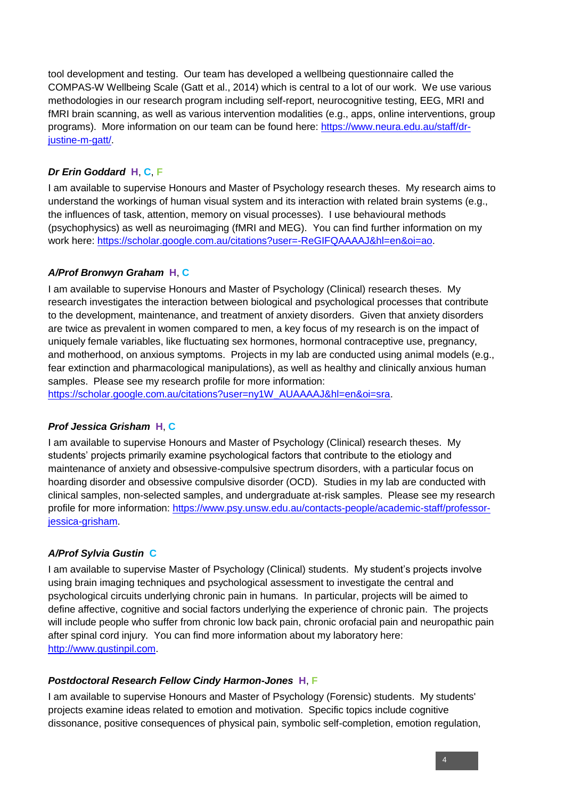tool development and testing. Our team has developed a wellbeing questionnaire called the COMPAS-W Wellbeing Scale (Gatt et al., 2014) which is central to a lot of our work. We use various methodologies in our research program including self-report, neurocognitive testing, EEG, MRI and fMRI brain scanning, as well as various intervention modalities (e.g., apps, online interventions, group programs). More information on our team can be found here: https://www.neura.edu.au/staff/drjustine-m-gatt/.

# *Dr Erin Goddard* **H**, **C**, **F**

I am available to supervise Honours and Master of Psychology research theses. My research aims to understand the workings of human visual system and its interaction with related brain systems (e.g., the influences of task, attention, memory on visual processes). I use behavioural methods (psychophysics) as well as neuroimaging (fMRI and MEG). You can find further information on my work here: [https://scholar.google.com.au/citations?user=-ReGIFQAAAAJ&hl=en&oi=ao.](https://scholar.google.com.au/citations?user=-ReGIFQAAAAJ&hl=en&oi=ao)

#### *A/Prof Bronwyn Graham* **H**, **C**

I am available to supervise Honours and Master of Psychology (Clinical) research theses. My research investigates the interaction between biological and psychological processes that contribute to the development, maintenance, and treatment of anxiety disorders. Given that anxiety disorders are twice as prevalent in women compared to men, a key focus of my research is on the impact of uniquely female variables, like fluctuating sex hormones, hormonal contraceptive use, pregnancy, and motherhood, on anxious symptoms. Projects in my lab are conducted using animal models (e.g., fear extinction and pharmacological manipulations), as well as healthy and clinically anxious human samples. Please see my research profile for more information:

[https://scholar.google.com.au/citations?user=ny1W\\_AUAAAAJ&hl=en&oi=sra.](https://scholar.google.com.au/citations?user=ny1W_AUAAAAJ&hl=en&oi=sra)

# *Prof Jessica Grisham* **H**, **C**

I am available to supervise Honours and Master of Psychology (Clinical) research theses. My students' projects primarily examine psychological factors that contribute to the etiology and maintenance of anxiety and obsessive-compulsive spectrum disorders, with a particular focus on hoarding disorder and obsessive compulsive disorder (OCD). Studies in my lab are conducted with clinical samples, non-selected samples, and undergraduate at-risk samples. Please see my research profile for more information: [https://www.psy.unsw.edu.au/contacts-people/academic-staff/professor](https://www.psy.unsw.edu.au/contacts-people/academic-staff/professor-jessica-grisham)[jessica-grisham.](https://www.psy.unsw.edu.au/contacts-people/academic-staff/professor-jessica-grisham)

# *A/Prof Sylvia Gustin* **C**

I am available to supervise Master of Psychology (Clinical) students. My student's projects involve using brain imaging techniques and psychological assessment to investigate the central and psychological circuits underlying chronic pain in humans. In particular, projects will be aimed to define affective, cognitive and social factors underlying the experience of chronic pain. The projects will include people who suffer from chronic low back pain, chronic orofacial pain and neuropathic pain after spinal cord injury. You can find more information about my laboratory here: [http://www.gustinpil.com.](http://www.gustinpil.com./)

#### *Postdoctoral Research Fellow Cindy Harmon-Jones* **H**, **F**

I am available to supervise Honours and Master of Psychology (Forensic) students. My students' projects examine ideas related to emotion and motivation. Specific topics include cognitive dissonance, positive consequences of physical pain, symbolic self-completion, emotion regulation,

4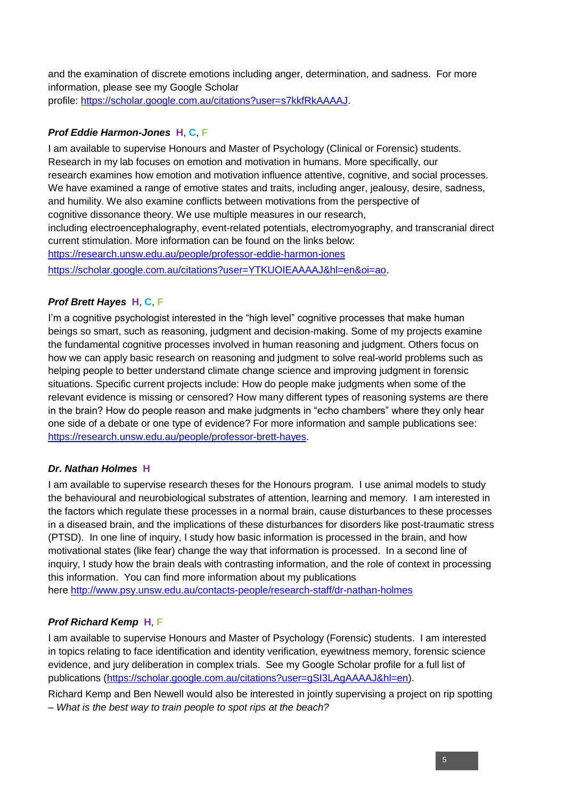and the examination of discrete emotions including anger, determination, and sadness. For more information, please see my Google Scholar profile: [https://scholar.google.com.au/citations?user=s7kkfRkAAAAJ.](https://scholar.google.com.au/citations?user=s7kkfRkAAAAJ)

# *Prof Eddie Harmon-Jones* **H**, **C**, **F**

I am available to supervise Honours and Master of Psychology (Clinical or Forensic) students. Research in my lab focuses on emotion and motivation in humans. More specifically, our research examines how emotion and motivation influence attentive, cognitive, and social processes. We have examined a range of emotive states and traits, including anger, jealousy, desire, sadness, and humility. We also examine conflicts between motivations from the perspective of cognitive dissonance theory. We use multiple measures in our research, including electroencephalography, event-related potentials, electromyography, and transcranial direct current stimulation. More information can be found on the links below: <https://research.unsw.edu.au/people/professor-eddie-harmon-jones>

[https://scholar.google.com.au/citations?user=YTKUOIEAAAAJ&hl=en&oi=ao.](https://scholar.google.com.au/citations?user=YTKUOIEAAAAJ&hl=en&oi=ao)

# *Prof Brett Hayes* **H**, **C**, **F**

I'm a cognitive psychologist interested in the "high level" cognitive processes that make human beings so smart, such as reasoning, judgment and decision-making. Some of my projects examine the fundamental cognitive processes involved in human reasoning and judgment. Others focus on how we can apply basic research on reasoning and judgment to solve real-world problems such as helping people to better understand climate change science and improving judgment in forensic situations. Specific current projects include: How do people make judgments when some of the relevant evidence is missing or censored? How many different types of reasoning systems are there in the brain? How do people reason and make judgments in "echo chambers" where they only hear one side of a debate or one type of evidence? For more information and sample publications see: [https://research.unsw.edu.au/people/professor-brett-hayes.](https://research.unsw.edu.au/people/professor-brett-hayes)

# *Dr. Nathan Holmes* **H**

I am available to supervise research theses for the Honours program. I use animal models to study the behavioural and neurobiological substrates of attention, learning and memory. I am interested in the factors which regulate these processes in a normal brain, cause disturbances to these processes in a diseased brain, and the implications of these disturbances for disorders like post-traumatic stress (PTSD). In one line of inquiry, I study how basic information is processed in the brain, and how motivational states (like fear) change the way that information is processed. In a second line of inquiry, I study how the brain deals with contrasting information, and the role of context in processing this information. You can find more information about my publications

here <http://www.psy.unsw.edu.au/contacts-people/research-staff/dr-nathan-holmes>

# *Prof Richard Kemp* **H**, **F**

I am available to supervise Honours and Master of Psychology (Forensic) students. I am interested in topics relating to face identification and identity verification, eyewitness memory, forensic science evidence, and jury deliberation in complex trials. See my Google Scholar profile for a full list of publications [\(https://scholar.google.com.au/citations?user=gSI3LAgAAAAJ&hl=en\)](https://scholar.google.com.au/citations?user=gSI3LAgAAAAJ&hl=en).

Richard Kemp and Ben Newell would also be interested in jointly supervising a project on rip spotting – *What is the best way to train people to spot rips at the beach?*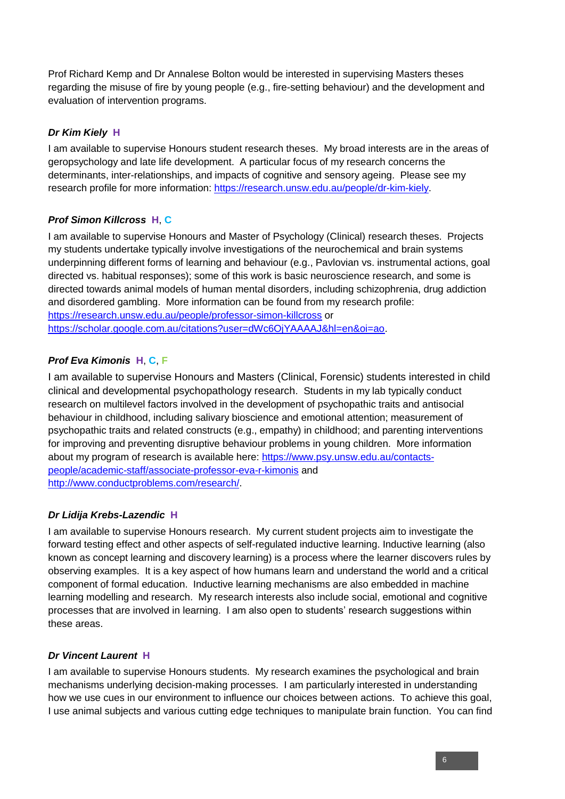Prof Richard Kemp and Dr Annalese Bolton would be interested in supervising Masters theses regarding the misuse of fire by young people (e.g., fire-setting behaviour) and the development and evaluation of intervention programs.

# *Dr Kim Kiely* **H**

I am available to supervise Honours student research theses. My broad interests are in the areas of geropsychology and late life development. A particular focus of my research concerns the determinants, inter-relationships, and impacts of cognitive and sensory ageing. Please see my research profile for more information: [https://research.unsw.edu.au/people/dr-kim-kiely.](https://research.unsw.edu.au/people/dr-kim-kiely)

# *Prof Simon Killcross* **H**, **C**

I am available to supervise Honours and Master of Psychology (Clinical) research theses. Projects my students undertake typically involve investigations of the neurochemical and brain systems underpinning different forms of learning and behaviour (e.g., Pavlovian vs. instrumental actions, goal directed vs. habitual responses); some of this work is basic neuroscience research, and some is directed towards animal models of human mental disorders, including schizophrenia, drug addiction and disordered gambling. More information can be found from my research profile: <https://research.unsw.edu.au/people/professor-simon-killcross> or [https://scholar.google.com.au/citations?user=dWc6OjYAAAAJ&hl=en&oi=ao.](https://scholar.google.com.au/citations?user=dWc6OjYAAAAJ&hl=en&oi=ao)

# *Prof Eva Kimonis* **H**, **C**, **F**

I am available to supervise Honours and Masters (Clinical, Forensic) students interested in child clinical and developmental psychopathology research. Students in my lab typically conduct research on multilevel factors involved in the development of psychopathic traits and antisocial behaviour in childhood, including salivary bioscience and emotional attention; measurement of psychopathic traits and related constructs (e.g., empathy) in childhood; and parenting interventions for improving and preventing disruptive behaviour problems in young children. More information about my program of research is available here: [https://www.psy.unsw.edu.au/contacts](https://www.psy.unsw.edu.au/contacts-people/academic-staff/associate-professor-eva-r-kimonis)[people/academic-staff/associate-professor-eva-r-kimonis](https://www.psy.unsw.edu.au/contacts-people/academic-staff/associate-professor-eva-r-kimonis) and [http://www.conductproblems.com/research/.](http://www.conductproblems.com/research/)

# *Dr Lidija Krebs-Lazendic* **H**

I am available to supervise Honours research. My current student projects aim to investigate the forward testing effect and other aspects of self-regulated inductive learning. Inductive learning (also known as concept learning and discovery learning) is a process where the learner discovers rules by observing examples. It is a key aspect of how humans learn and understand the world and a critical component of formal education. Inductive learning mechanisms are also embedded in machine learning modelling and research. My research interests also include social, emotional and cognitive processes that are involved in learning. I am also open to students' research suggestions within these areas.

# *Dr Vincent Laurent* **H**

I am available to supervise Honours students. My research examines the psychological and brain mechanisms underlying decision-making processes. I am particularly interested in understanding how we use cues in our environment to influence our choices between actions. To achieve this goal, I use animal subjects and various cutting edge techniques to manipulate brain function. You can find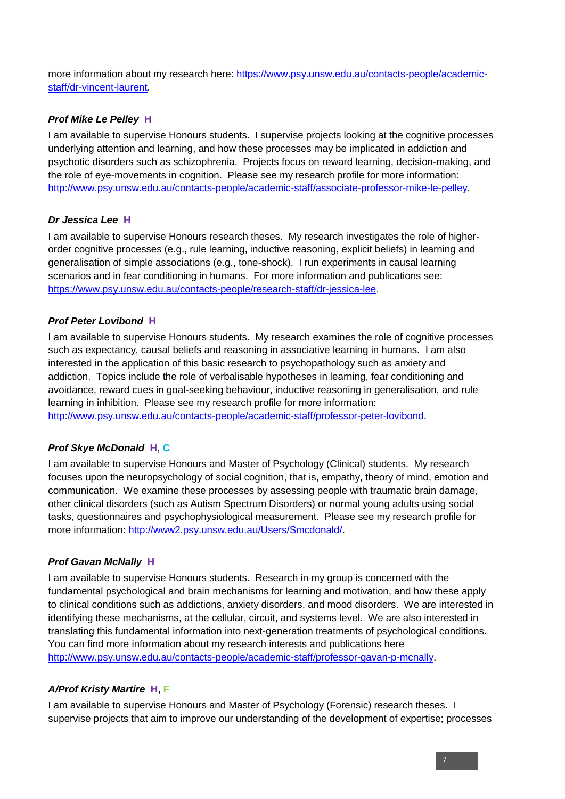more information about my research here: [https://www.psy.unsw.edu.au/contacts-people/academic](https://www.psy.unsw.edu.au/contacts-people/academic-staff/dr-vincent-laurent)[staff/dr-vincent-laurent.](https://www.psy.unsw.edu.au/contacts-people/academic-staff/dr-vincent-laurent)

# *Prof Mike Le Pelley* **H**

I am available to supervise Honours students. I supervise projects looking at the cognitive processes underlying attention and learning, and how these processes may be implicated in addiction and psychotic disorders such as schizophrenia. Projects focus on reward learning, decision-making, and the role of eye-movements in cognition. Please see my research profile for more information: [http://www.psy.unsw.edu.au/contacts-people/academic-staff/associate-professor-mike-le-pelley.](http://www.psy.unsw.edu.au/contacts-people/academic-staff/associate-professor-mike-le-pelley)

# *Dr Jessica Lee* **H**

I am available to supervise Honours research theses. My research investigates the role of higherorder cognitive processes (e.g., rule learning, inductive reasoning, explicit beliefs) in learning and generalisation of simple associations (e.g., tone-shock). I run experiments in causal learning scenarios and in fear conditioning in humans. For more information and publications see: [https://www.psy.unsw.edu.au/contacts-people/research-staff/dr-jessica-lee.](https://www.psy.unsw.edu.au/contacts-people/research-staff/dr-jessica-lee)

# *Prof Peter Lovibond* **H**

I am available to supervise Honours students. My research examines the role of cognitive processes such as expectancy, causal beliefs and reasoning in associative learning in humans. I am also interested in the application of this basic research to psychopathology such as anxiety and addiction. Topics include the role of verbalisable hypotheses in learning, fear conditioning and avoidance, reward cues in goal-seeking behaviour, inductive reasoning in generalisation, and rule learning in inhibition. Please see my research profile for more information: [http://www.psy.unsw.edu.au/contacts-people/academic-staff/professor-peter-lovibond.](http://www.psy.unsw.edu.au/contacts-people/academic-staff/professor-peter-lovibond)

# *Prof Skye McDonald* **H**, **C**

I am available to supervise Honours and Master of Psychology (Clinical) students. My research focuses upon the neuropsychology of social cognition, that is, empathy, theory of mind, emotion and communication. We examine these processes by assessing people with traumatic brain damage, other clinical disorders (such as Autism Spectrum Disorders) or normal young adults using social tasks, questionnaires and psychophysiological measurement. Please see my research profile for more information: [http://www2.psy.unsw.edu.au/Users/Smcdonald/.](http://www2.psy.unsw.edu.au/Users/Smcdonald/)

# *Prof Gavan McNally* **H**

I am available to supervise Honours students. Research in my group is concerned with the fundamental psychological and brain mechanisms for learning and motivation, and how these apply to clinical conditions such as addictions, anxiety disorders, and mood disorders. We are interested in identifying these mechanisms, at the cellular, circuit, and systems level. We are also interested in translating this fundamental information into next-generation treatments of psychological conditions. You can find more information about my research interests and publications here [http://www.psy.unsw.edu.au/contacts-people/academic-staff/professor-gavan-p-mcnally.](http://www.psy.unsw.edu.au/contacts-people/academic-staff/professor-gavan-p-mcnally)

# *A/Prof Kristy Martire* **H**, **F**

I am available to supervise Honours and Master of Psychology (Forensic) research theses. I supervise projects that aim to improve our understanding of the development of expertise; processes

7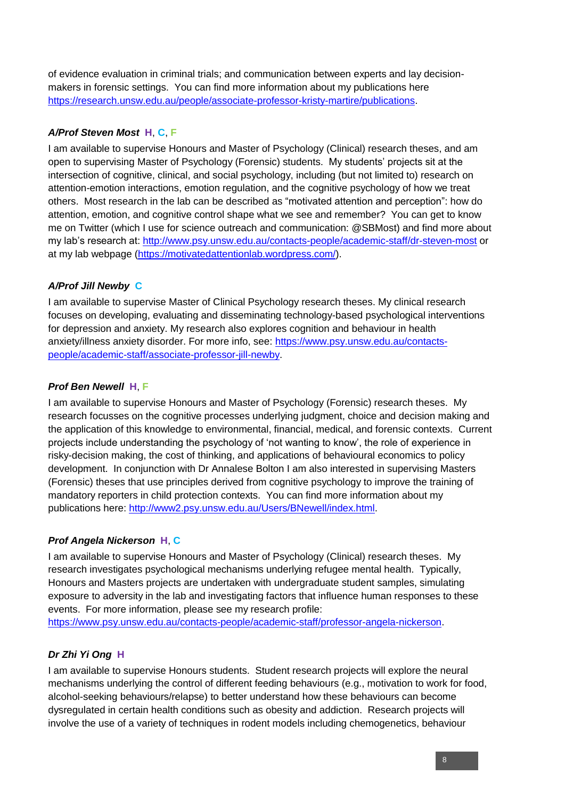of evidence evaluation in criminal trials; and communication between experts and lay decisionmakers in forensic settings. You can find more information about my publications here [https://research.unsw.edu.au/people/associate-professor-kristy-martire/publications.](https://research.unsw.edu.au/people/associate-professor-kristy-martire/publications)

# *A/Prof Steven Most* **H**, **C**, **F**

I am available to supervise Honours and Master of Psychology (Clinical) research theses, and am open to supervising Master of Psychology (Forensic) students. My students' projects sit at the intersection of cognitive, clinical, and social psychology, including (but not limited to) research on attention-emotion interactions, emotion regulation, and the cognitive psychology of how we treat others. Most research in the lab can be described as "motivated attention and perception": how do attention, emotion, and cognitive control shape what we see and remember? You can get to know me on Twitter (which I use for science outreach and communication: @SBMost) and find more about my lab's research at:<http://www.psy.unsw.edu.au/contacts-people/academic-staff/dr-steven-most> or at my lab webpage [\(https://motivatedattentionlab.wordpress.com/\)](https://motivatedattentionlab.wordpress.com/).

# *A/Prof Jill Newby* **C**

I am available to supervise Master of Clinical Psychology research theses. My clinical research focuses on developing, evaluating and disseminating technology-based psychological interventions for depression and anxiety. My research also explores cognition and behaviour in health anxiety/illness anxiety disorder. For more info, see: [https://www.psy.unsw.edu.au/contacts](https://www.psy.unsw.edu.au/contacts-people/academic-staff/associate-professor-jill-newby)[people/academic-staff/associate-professor-jill-newby.](https://www.psy.unsw.edu.au/contacts-people/academic-staff/associate-professor-jill-newby)

# *Prof Ben Newell* **H**, **F**

I am available to supervise Honours and Master of Psychology (Forensic) research theses. My research focusses on the cognitive processes underlying judgment, choice and decision making and the application of this knowledge to environmental, financial, medical, and forensic contexts. Current projects include understanding the psychology of 'not wanting to know', the role of experience in risky-decision making, the cost of thinking, and applications of behavioural economics to policy development. In conjunction with Dr Annalese Bolton I am also interested in supervising Masters (Forensic) theses that use principles derived from cognitive psychology to improve the training of mandatory reporters in child protection contexts. You can find more information about my publications here: [http://www2.psy.unsw.edu.au/Users/BNewell/index.html.](http://www2.psy.unsw.edu.au/Users/BNewell/index.html)

# *Prof Angela Nickerson* **H**, **C**

I am available to supervise Honours and Master of Psychology (Clinical) research theses. My research investigates psychological mechanisms underlying refugee mental health. Typically, Honours and Masters projects are undertaken with undergraduate student samples, simulating exposure to adversity in the lab and investigating factors that influence human responses to these events. For more information, please see my research profile:

[https://www.psy.unsw.edu.au/contacts-people/academic-staff/professor-angela-nickerson.](https://www.psy.unsw.edu.au/contacts-people/academic-staff/professor-angela-nickerson)

# *Dr Zhi Yi Ong* **H**

I am available to supervise Honours students. Student research projects will explore the neural mechanisms underlying the control of different feeding behaviours (e.g., motivation to work for food, alcohol-seeking behaviours/relapse) to better understand how these behaviours can become dysregulated in certain health conditions such as obesity and addiction. Research projects will involve the use of a variety of techniques in rodent models including chemogenetics, behaviour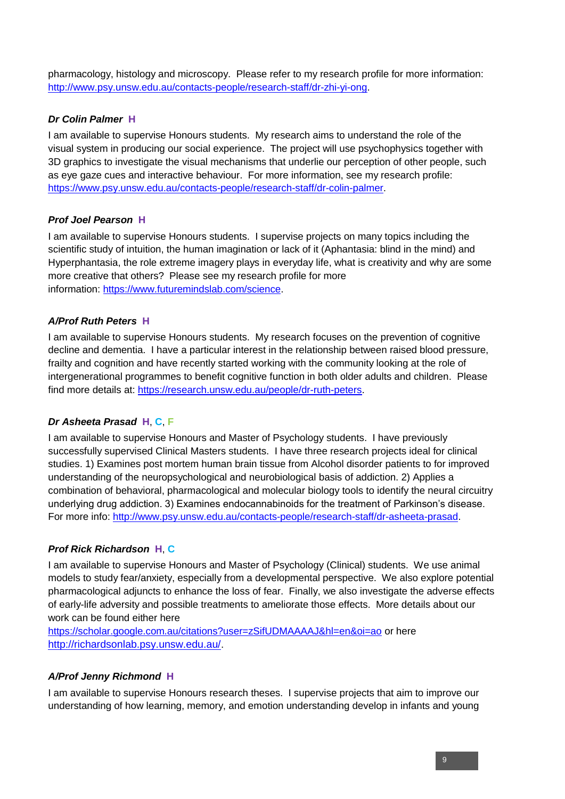pharmacology, histology and microscopy. Please refer to my research profile for more information: [http://www.psy.unsw.edu.au/contacts-people/research-staff/dr-zhi-yi-ong.](http://www.psy.unsw.edu.au/contacts-people/research-staff/dr-zhi-yi-ong)

# *Dr Colin Palmer* **H**

I am available to supervise Honours students. My research aims to understand the role of the visual system in producing our social experience. The project will use psychophysics together with 3D graphics to investigate the visual mechanisms that underlie our perception of other people, such as eye gaze cues and interactive behaviour. For more information, see my research profile: [https://www.psy.unsw.edu.au/contacts-people/research-staff/dr-colin-palmer.](https://www.psy.unsw.edu.au/contacts-people/research-staff/dr-colin-palmer)

# *Prof Joel Pearson* **H**

I am available to supervise Honours students. I supervise projects on many topics including the scientific study of intuition, the human imagination or lack of it (Aphantasia: blind in the mind) and Hyperphantasia, the role extreme imagery plays in everyday life, what is creativity and why are some more creative that others? Please see my research profile for more information: [https://www.futuremindslab.com/science.](https://www.futuremindslab.com/science)

# *A/Prof Ruth Peters* **H**

I am available to supervise Honours students. My research focuses on the prevention of cognitive decline and dementia. I have a particular interest in the relationship between raised blood pressure, frailty and cognition and have recently started working with the community looking at the role of intergenerational programmes to benefit cognitive function in both older adults and children. Please find more details at: [https://research.unsw.edu.au/people/dr-ruth-peters.](https://research.unsw.edu.au/people/dr-ruth-peters)

# *Dr Asheeta Prasad* **H**, **C**, **F**

I am available to supervise Honours and Master of Psychology students. I have previously successfully supervised Clinical Masters students. I have three research projects ideal for clinical studies. 1) Examines post mortem human brain tissue from Alcohol disorder patients to for improved understanding of the neuropsychological and neurobiological basis of addiction. 2) Applies a combination of behavioral, pharmacological and molecular biology tools to identify the neural circuitry underlying drug addiction. 3) Examines endocannabinoids for the treatment of Parkinson's disease. For more info: [http://www.psy.unsw.edu.au/contacts-people/research-staff/dr-asheeta-prasad.](http://www.psy.unsw.edu.au/contacts-people/research-staff/dr-asheeta-prasad)

# *Prof Rick Richardson* **H**, **C**

I am available to supervise Honours and Master of Psychology (Clinical) students. We use animal models to study fear/anxiety, especially from a developmental perspective. We also explore potential pharmacological adjuncts to enhance the loss of fear. Finally, we also investigate the adverse effects of early-life adversity and possible treatments to ameliorate those effects. More details about our work can be found either here

<https://scholar.google.com.au/citations?user=zSifUDMAAAAJ&hl=en&oi=ao> or here <http://richardsonlab.psy.unsw.edu.au/>.

# *A/Prof Jenny Richmond* **H**

I am available to supervise Honours research theses. I supervise projects that aim to improve our understanding of how learning, memory, and emotion understanding develop in infants and young

9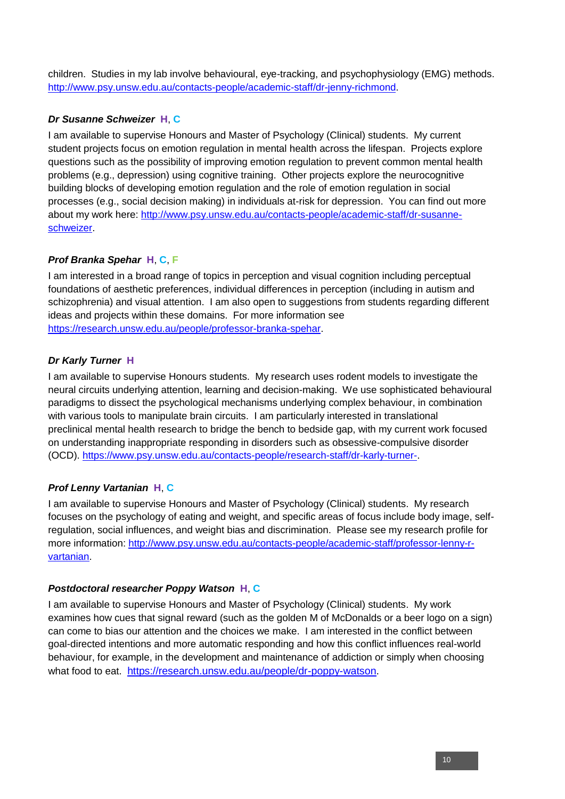children. Studies in my lab involve behavioural, eye-tracking, and psychophysiology (EMG) methods. [http://www.psy.unsw.edu.au/contacts-people/academic-staff/dr-jenny-richmond.](http://www.psy.unsw.edu.au/contacts-people/academic-staff/dr-jenny-richmond)

# *Dr Susanne Schweizer* **H**, **C**

I am available to supervise Honours and Master of Psychology (Clinical) students. My current student projects focus on emotion regulation in mental health across the lifespan. Projects explore questions such as the possibility of improving emotion regulation to prevent common mental health problems (e.g., depression) using cognitive training. Other projects explore the neurocognitive building blocks of developing emotion regulation and the role of emotion regulation in social processes (e.g., social decision making) in individuals at-risk for depression. You can find out more about my work here: [http://www.psy.unsw.edu.au/contacts-people/academic-staff/dr-susanne](http://www.psy.unsw.edu.au/contacts-people/academic-staff/dr-susanne-schweizer)[schweizer.](http://www.psy.unsw.edu.au/contacts-people/academic-staff/dr-susanne-schweizer)

# *Prof Branka Spehar* **H**, **C**, **F**

I am interested in a broad range of topics in perception and visual cognition including perceptual foundations of aesthetic preferences, individual differences in perception (including in autism and schizophrenia) and visual attention. I am also open to suggestions from students regarding different ideas and projects within these domains. For more information see [https://research.unsw.edu.au/people/professor-branka-spehar.](https://research.unsw.edu.au/people/professor-branka-spehar)

# *Dr Karly Turner* **H**

I am available to supervise Honours students. My research uses rodent models to investigate the neural circuits underlying attention, learning and decision-making. We use sophisticated behavioural paradigms to dissect the psychological mechanisms underlying complex behaviour, in combination with various tools to manipulate brain circuits. I am particularly interested in translational preclinical mental health research to bridge the bench to bedside gap, with my current work focused on understanding inappropriate responding in disorders such as obsessive-compulsive disorder (OCD). [https://www.psy.unsw.edu.au/contacts-people/research-staff/dr-karly-turner-.](https://www.psy.unsw.edu.au/contacts-people/research-staff/dr-karly-turner-)

# *Prof Lenny Vartanian* **H**, **C**

I am available to supervise Honours and Master of Psychology (Clinical) students. My research focuses on the psychology of eating and weight, and specific areas of focus include body image, selfregulation, social influences, and weight bias and discrimination. Please see my research profile for more information: [http://www.psy.unsw.edu.au/contacts-people/academic-staff/professor-lenny-r](http://www.psy.unsw.edu.au/contacts-people/academic-staff/professor-lenny-r-vartanian)[vartanian.](http://www.psy.unsw.edu.au/contacts-people/academic-staff/professor-lenny-r-vartanian)

# *Postdoctoral researcher Poppy Watson* **H**, **C**

I am available to supervise Honours and Master of Psychology (Clinical) students. My work examines how cues that signal reward (such as the golden M of McDonalds or a beer logo on a sign) can come to bias our attention and the choices we make. I am interested in the conflict between goal-directed intentions and more automatic responding and how this conflict influences real-world behaviour, for example, in the development and maintenance of addiction or simply when choosing what food to eat. [https://research.unsw.edu.au/people/dr-poppy-watson.](https://research.unsw.edu.au/people/dr-poppy-watson)